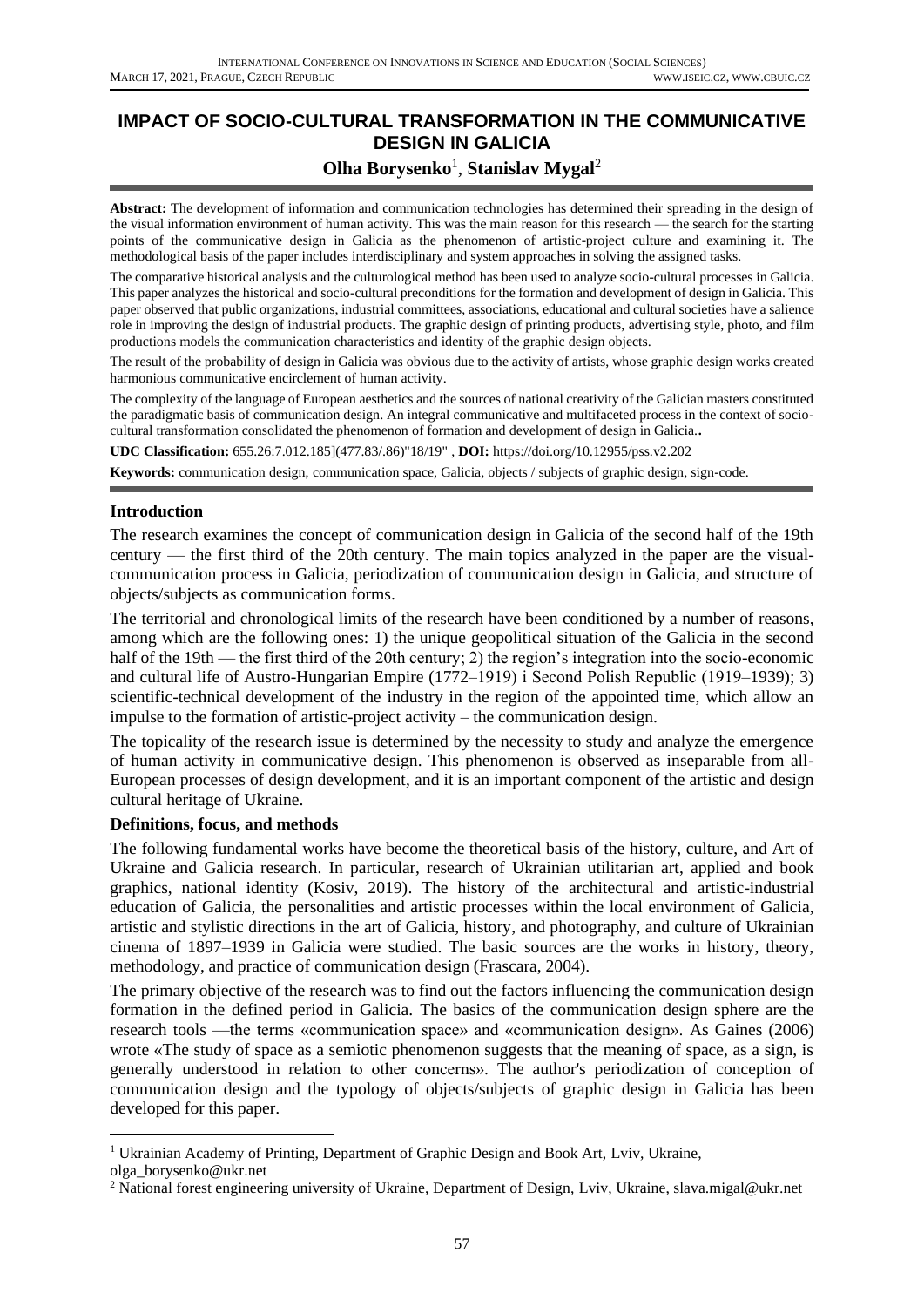# **IMPACT OF SOCIO-CULTURAL TRANSFORMATION IN THE COMMUNICATIVE DESIGN IN GALICIA**

## **Olha Borysenko<sup>1</sup>, Stanislav Mygal<sup>2</sup>**

**Abstract:** The development of information and communication technologies has determined their spreading in the design of the visual information environment of human activity. This was the main reason for this research — the search for the starting points of the communicative design in Galicia as the phenomenon of artistic-project culture and examining it. The methodological basis of the paper includes interdisciplinary and system approaches in solving the assigned tasks.

The comparative historical analysis and the culturological method has been used to analyze socio-cultural processes in Galicia. This paper analyzes the historical and socio-cultural preconditions for the formation and development of design in Galicia. This paper observed that public organizations, industrial committees, associations, educational and cultural societies have a salience role in improving the design of industrial products. The graphic design of printing products, advertising style, photo, and film productions models the communication characteristics and identity of the graphic design objects.

The result of the probability of design in Galicia was obvious due to the activity of artists, whose graphic design works created harmonious communicative encirclement of human activity.

The complexity of the language of European aesthetics and the sources of national creativity of the Galician masters constituted the paradigmatic basis of communication design. An integral communicative and multifaceted process in the context of sociocultural transformation consolidated the phenomenon of formation and development of design in Galicia.**.**

**UDC Classification:** 655.26:7.012.185](477.83/.86)"18/19" , **DOI:** https://doi.org/10.12955/pss.v2.202

**Keywords:** communication design, communication space, Galicia, objects / subjects of graphic design, sign-code.

#### **Introduction**

The research examines the concept of communication design in Galicia of the second half of the 19th century — the first third of the 20th century. The main topics analyzed in the paper are the visualcommunication process in Galicia, periodization of communication design in Galicia, and structure of objects/subjects as communication forms.

The territorial and chronological limits of the research have been conditioned by a number of reasons, among which are the following ones: 1) the unique geopolitical situation of the Galicia in the second half of the 19th — the first third of the 20th century; 2) the region's integration into the socio-economic and cultural life of Austro-Hungarian Empire (1772–1919) і Second Polish Republic (1919–1939); 3) scientific-technical development of the industry in the region of the appointed time, which allow an impulse to the formation of artistic-project activity – the communication design.

The topicality of the research issue is determined by the necessity to study and analyze the emergence of human activity in communicative design. This phenomenon is observed as inseparable from all-European processes of design development, and it is an important component of the artistic and design cultural heritage of Ukraine.

#### **Definitions, focus, and methods**

The following fundamental works have become the theoretical basis of the history, culture, and Art of Ukraine and Galicia research. In particular, research of Ukrainian utilitarian art, applied and book graphics, national identity (Kosiv, 2019). The history of the architectural and artistic-industrial education of Galicia, the personalities and artistic processes within the local environment of Galicia, artistic and stylistic directions in the art of Galicia, history, and photography, and culture of Ukrainian cinema of 1897–1939 in Galicia were studied. The basic sources are the works in history, theory, methodology, and practice of communication design (Frascara, 2004).

The primary objective of the research was to find out the factors influencing the communication design formation in the defined period in Galicia. The basics of the communication design sphere are the research tools —the terms «communication space» and «communication design». As Gaines (2006) wrote «The study of space as a semiotic phenomenon suggests that the meaning of space, as a sign, is generally understood in relation to other concerns». The author's periodization of conception of communication design and the typology of objects/subjects of graphic design in Galicia has been developed for this paper.

<sup>&</sup>lt;sup>1</sup> Ukrainian Academy of Printing, Department of Graphic Design and Book Art, Lviv, Ukraine,

olga\_borysenko@ukr.net

<sup>2</sup> National forest engineering university of Ukraine, Department of Design, Lviv, Ukraine, slava.migal@ukr.net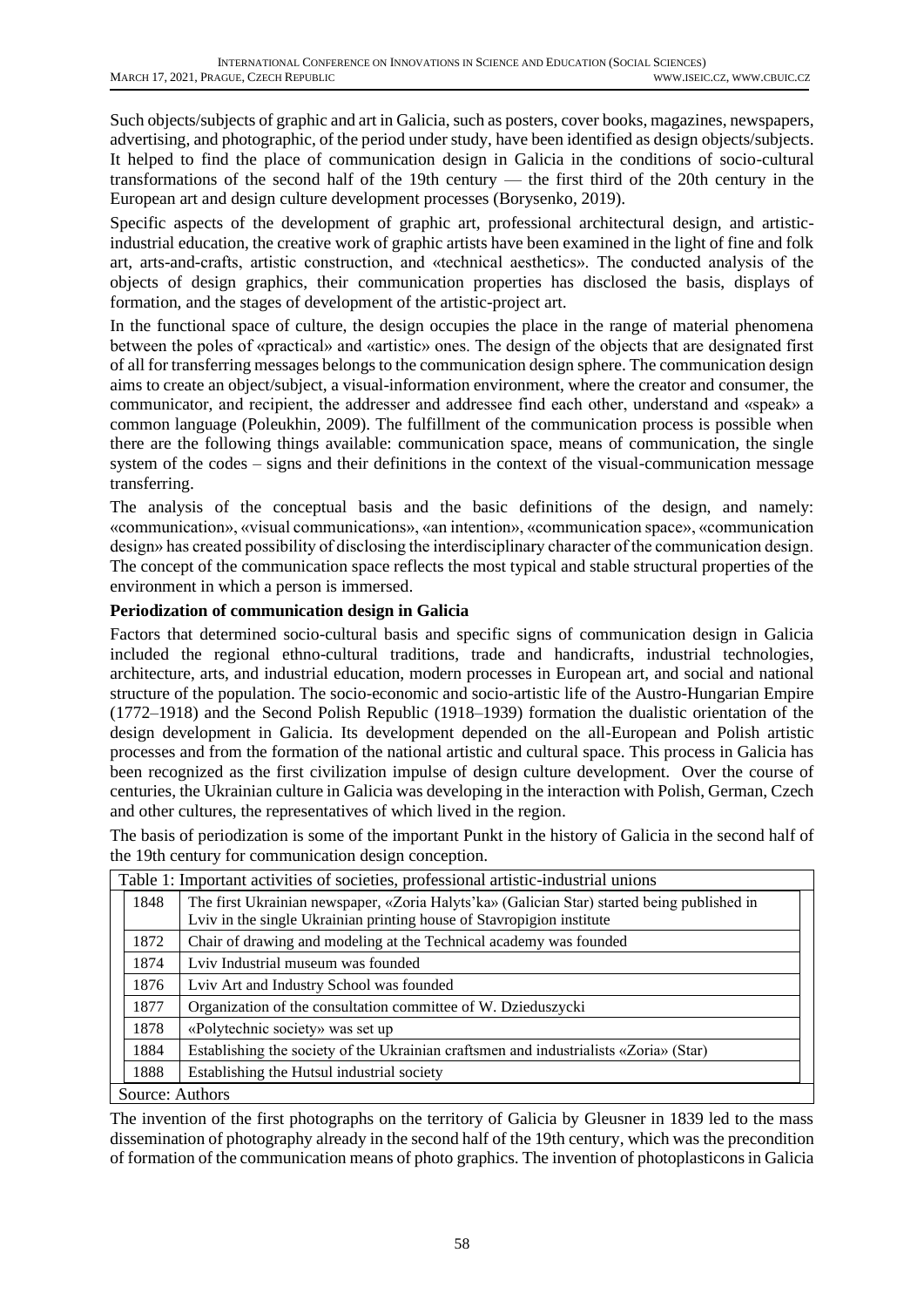Such objects/subjects of graphic and art in Galicia, such as posters, cover books, magazines, newspapers, advertising, and photographic, of the period under study, have been identified as design objects/subjects. It helped to find the place of communication design in Galicia in the conditions of socio-cultural transformations of the second half of the 19th century — the first third of the 20th century in the European art and design culture development processes (Borysenko, 2019).

Specific aspects of the development of graphic art, professional architectural design, and artisticindustrial education, the creative work of graphic artists have been examined in the light of fine and folk art, arts-and-crafts, artistic construction, and «technical aesthetics». The conducted analysis of the objects of design graphics, their communication properties has disclosed the basis, displays of formation, and the stages of development of the artistic-project art.

In the functional space of culture, the design occupies the place in the range of material phenomena between the poles of «practical» and «artistic» ones. The design of the objects that are designated first of all for transferring messages belongs to the communication design sphere. The communication design aims to create an object/subject, a visual-information environment, where the creator and consumer, the communicator, and recipient, the addresser and addressee find each other, understand and «speak» a common language (Poleukhin, 2009). The fulfillment of the communication process is possible when there are the following things available: communication space, means of communication, the single system of the codes – signs and their definitions in the context of the visual-communication message transferring.

The analysis of the conceptual basis and the basic definitions of the design, and namely: «communication», «visual communications», «an intention», «communication space», «communication design» has created possibility of disclosing the interdisciplinary character of the communication design. The concept of the communication space reflects the most typical and stable structural properties of the environment in which a person is immersed.

## **Periodization of communication design in Galicia**

Factors that determined socio-cultural basis and specific signs of communication design in Galicia included the regional ethno-cultural traditions, trade and handicrafts, industrial technologies, architecture, arts, and industrial education, modern processes in European art, and social and national structure of the population. The socio-economic and socio-artistic life of the Austro-Hungarian Empire (1772–1918) and the Second Polish Republic (1918–1939) formation the dualistic orientation of the design development in Galicia. Its development depended on the all-European and Polish artistic processes and from the formation of the national artistic and cultural space. This process in Galicia has been recognized as the first civilization impulse of design culture development. Over the course of centuries, the Ukrainian culture in Galicia was developing in the interaction with Polish, German, Czech and other cultures, the representatives of which lived in the region.

The basis of periodization is some of the important Punkt in the history of Galicia in the second half of the 19th century for communication design conception.

| Table 1: Important activities of societies, professional artistic-industrial unions |                                                                                                                                                                      |  |  |
|-------------------------------------------------------------------------------------|----------------------------------------------------------------------------------------------------------------------------------------------------------------------|--|--|
| 1848                                                                                | The first Ukrainian newspaper, «Zoria Halyts'ka» (Galician Star) started being published in<br>Lyiv in the single Ukrainian printing house of Stavropigion institute |  |  |
| 1872                                                                                | Chair of drawing and modeling at the Technical academy was founded                                                                                                   |  |  |
| 1874                                                                                | Lyiv Industrial museum was founded                                                                                                                                   |  |  |
| 1876                                                                                | Lviv Art and Industry School was founded                                                                                                                             |  |  |
| 1877                                                                                | Organization of the consultation committee of W. Dzieduszycki                                                                                                        |  |  |
| 1878                                                                                | «Polytechnic society» was set up                                                                                                                                     |  |  |
| 1884                                                                                | Establishing the society of the Ukrainian craftsmen and industrialists «Zoria» (Star)                                                                                |  |  |
| 1888                                                                                | Establishing the Hutsul industrial society                                                                                                                           |  |  |
| Source: Authors                                                                     |                                                                                                                                                                      |  |  |

The invention of the first photographs on the territory of Galicia by Gleusner in 1839 led to the mass dissemination of photography already in the second half of the 19th century, which was the precondition of formation of the communication means of photo graphics. The invention of photoplasticons in Galicia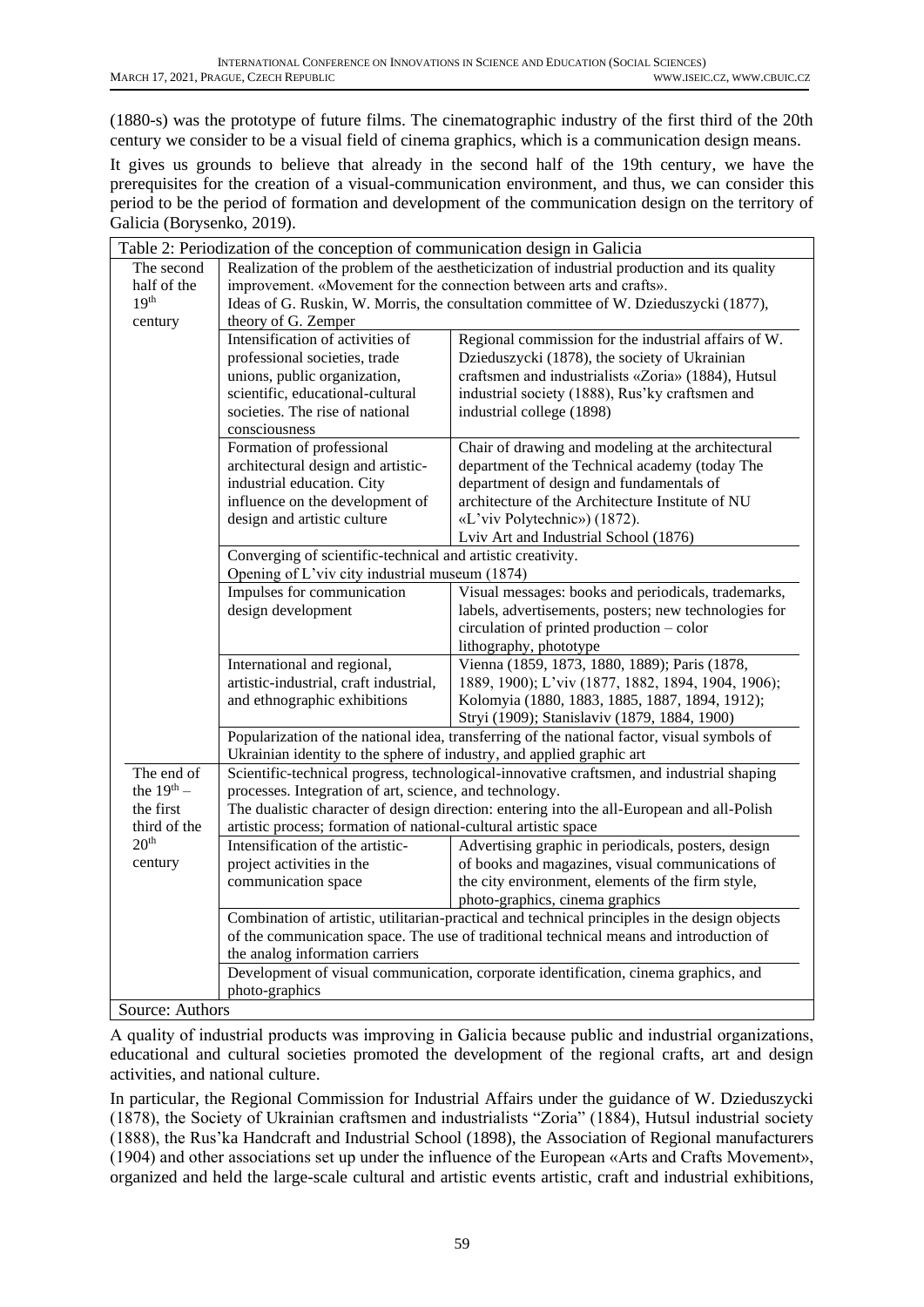(1880-s) was the prototype of future films. The cinematographic industry of the first third of the 20th century we consider to be a visual field of cinema graphics, which is a communication design means.

It gives us grounds to believe that already in the second half of the 19th century, we have the prerequisites for the creation of a visual-communication environment, and thus, we can consider this period to be the period of formation and development of the communication design on the territory of Galicia (Borysenko, 2019).

|                                                 | Table 2: Periodization of the conception of communication design in Galicia                                                                                   |                                                                                               |  |  |  |
|-------------------------------------------------|---------------------------------------------------------------------------------------------------------------------------------------------------------------|-----------------------------------------------------------------------------------------------|--|--|--|
| The second                                      | Realization of the problem of the aestheticization of industrial production and its quality                                                                   |                                                                                               |  |  |  |
| half of the                                     | improvement. «Movement for the connection between arts and crafts».                                                                                           |                                                                                               |  |  |  |
| 19 <sup>th</sup>                                | Ideas of G. Ruskin, W. Morris, the consultation committee of W. Dzieduszycki (1877),                                                                          |                                                                                               |  |  |  |
| century                                         | theory of G. Zemper                                                                                                                                           |                                                                                               |  |  |  |
|                                                 | Intensification of activities of                                                                                                                              | Regional commission for the industrial affairs of W.                                          |  |  |  |
|                                                 | professional societies, trade                                                                                                                                 | Dzieduszycki (1878), the society of Ukrainian                                                 |  |  |  |
|                                                 | unions, public organization,                                                                                                                                  | craftsmen and industrialists «Zoria» (1884), Hutsul                                           |  |  |  |
|                                                 | scientific, educational-cultural                                                                                                                              | industrial society (1888), Rus'ky craftsmen and                                               |  |  |  |
|                                                 | societies. The rise of national                                                                                                                               | industrial college (1898)                                                                     |  |  |  |
|                                                 | consciousness                                                                                                                                                 |                                                                                               |  |  |  |
|                                                 | Formation of professional                                                                                                                                     | Chair of drawing and modeling at the architectural                                            |  |  |  |
|                                                 | architectural design and artistic-<br>industrial education. City                                                                                              | department of the Technical academy (today The<br>department of design and fundamentals of    |  |  |  |
|                                                 | influence on the development of                                                                                                                               | architecture of the Architecture Institute of NU                                              |  |  |  |
|                                                 | design and artistic culture                                                                                                                                   | «L'viv Polytechnic») (1872).                                                                  |  |  |  |
|                                                 |                                                                                                                                                               | Lviv Art and Industrial School (1876)                                                         |  |  |  |
|                                                 | Converging of scientific-technical and artistic creativity.                                                                                                   |                                                                                               |  |  |  |
|                                                 | Opening of L'viv city industrial museum (1874)                                                                                                                |                                                                                               |  |  |  |
|                                                 | Impulses for communication                                                                                                                                    | Visual messages: books and periodicals, trademarks,                                           |  |  |  |
|                                                 | design development                                                                                                                                            | labels, advertisements, posters; new technologies for                                         |  |  |  |
|                                                 |                                                                                                                                                               | circulation of printed production – color                                                     |  |  |  |
|                                                 |                                                                                                                                                               | lithography, phototype                                                                        |  |  |  |
|                                                 | International and regional,                                                                                                                                   | Vienna (1859, 1873, 1880, 1889); Paris (1878,                                                 |  |  |  |
|                                                 | artistic-industrial, craft industrial,                                                                                                                        | 1889, 1900); L'viv (1877, 1882, 1894, 1904, 1906);                                            |  |  |  |
|                                                 | and ethnographic exhibitions                                                                                                                                  | Kolomyia (1880, 1883, 1885, 1887, 1894, 1912);                                                |  |  |  |
|                                                 |                                                                                                                                                               | Stryi (1909); Stanislaviv (1879, 1884, 1900)                                                  |  |  |  |
|                                                 |                                                                                                                                                               | Popularization of the national idea, transferring of the national factor, visual symbols of   |  |  |  |
|                                                 | Ukrainian identity to the sphere of industry, and applied graphic art                                                                                         |                                                                                               |  |  |  |
| The end of                                      |                                                                                                                                                               | Scientific-technical progress, technological-innovative craftsmen, and industrial shaping     |  |  |  |
| the $19th$ -                                    | processes. Integration of art, science, and technology.                                                                                                       |                                                                                               |  |  |  |
| the first<br>third of the                       | The dualistic character of design direction: entering into the all-European and all-Polish<br>artistic process; formation of national-cultural artistic space |                                                                                               |  |  |  |
| 20 <sup>th</sup>                                | Intensification of the artistic-                                                                                                                              | Advertising graphic in periodicals, posters, design                                           |  |  |  |
| century                                         | project activities in the                                                                                                                                     | of books and magazines, visual communications of                                              |  |  |  |
|                                                 | communication space                                                                                                                                           | the city environment, elements of the firm style,                                             |  |  |  |
|                                                 |                                                                                                                                                               | photo-graphics, cinema graphics                                                               |  |  |  |
|                                                 |                                                                                                                                                               | Combination of artistic, utilitarian-practical and technical principles in the design objects |  |  |  |
|                                                 | of the communication space. The use of traditional technical means and introduction of                                                                        |                                                                                               |  |  |  |
|                                                 | the analog information carriers                                                                                                                               |                                                                                               |  |  |  |
|                                                 |                                                                                                                                                               | Development of visual communication, corporate identification, cinema graphics, and           |  |  |  |
|                                                 | photo-graphics                                                                                                                                                |                                                                                               |  |  |  |
| $\mathcal{R}_{\text{OIPOO}}$ , $\Lambda$ uthors |                                                                                                                                                               |                                                                                               |  |  |  |

Source: Authors

А quality of industrial products was improving in Galicia because public and industrial organizations, educational and cultural societies promoted the development of the regional crafts, art and design activities, and national culture.

In particular, the Regional Commission for Industrial Affairs under the guidance of W. Dzieduszycki (1878), the Society of Ukrainian craftsmen and industrialists "Zoria" (1884), Hutsul industrial society (1888), the Rus'ka Handcraft and Industrial School (1898), the Association of Regional manufacturers (1904) and other associations set up under the influence of the European «Arts and Crafts Movement», organized and held the large-scale cultural and artistic events artistic, craft and industrial exhibitions,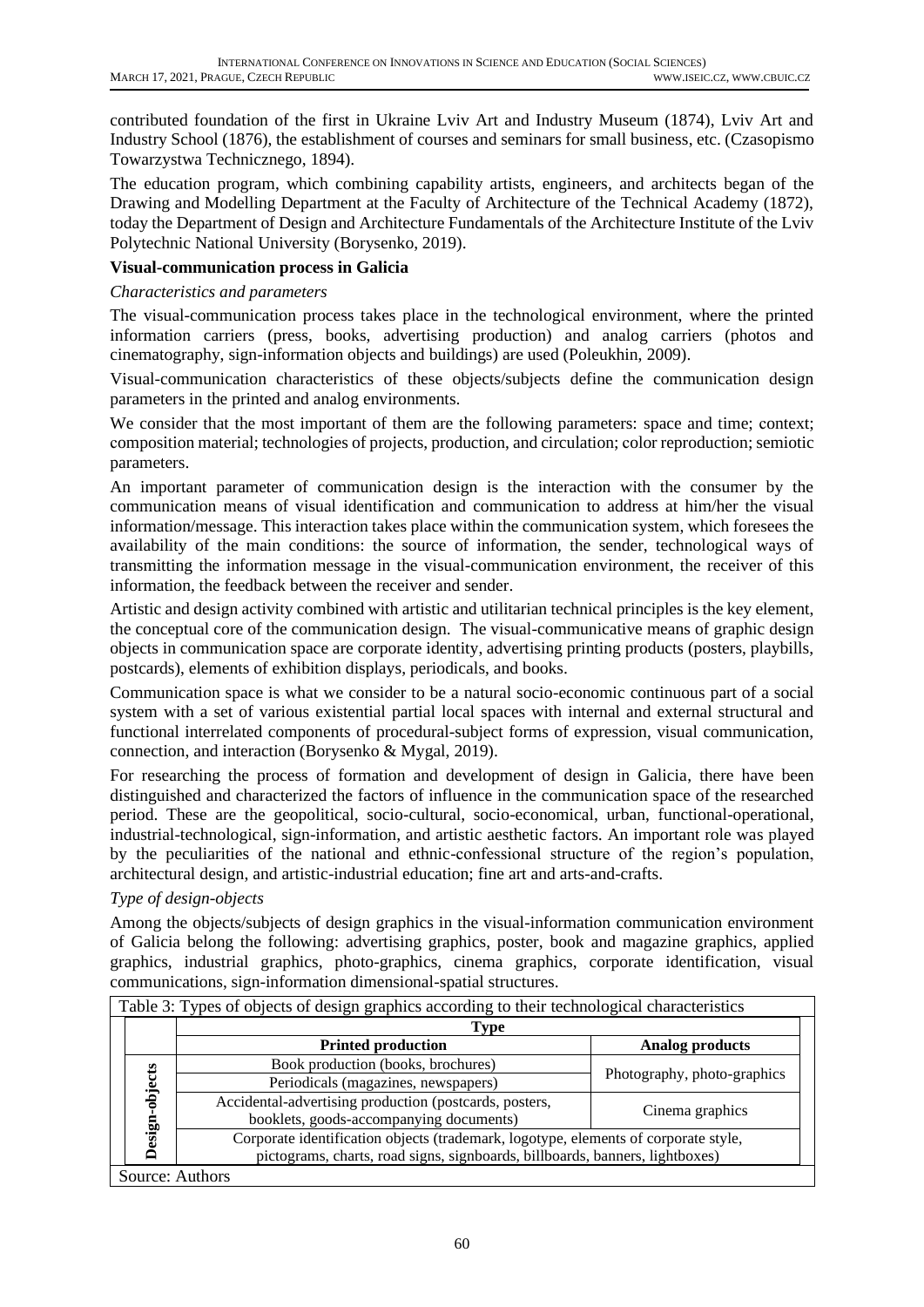contributed foundation of the first in Ukraine Lviv Art and Industry Museum (1874), Lviv Art and Industry School (1876), the establishment of courses and seminars for small business, etc. (Czasopismo Towarzystwa Technicznego, 1894).

The education program, which combining capability artists, engineers, and architects began of the Drawing and Modelling Department at the Faculty of Architecture of the Technical Academy (1872), today the Department of Design and Architecture Fundamentals of the Architecture Institute of the Lviv Polytechnic National University (Borysenko, 2019).

## **Visual-communication process in Galicia**

#### *Characteristics and parameters*

The visual-communication process takes place in the technological environment, where the printed information carriers (press, books, advertising production) and analog carriers (photos and cinematography, sign-information objects and buildings) are used (Poleukhin, 2009).

Visual-communication characteristics of these objects/subjects define the communication design parameters in the printed and analog environments.

We consider that the most important of them are the following parameters: space and time; context; сomposition material; technologies of projects, production, and circulation; сolor reproduction; semiotic parameters.

An important parameter of communication design is the interaction with the consumer by the communication means of visual identification and communication to address at him/her the visual information/message. This interaction takes place within the communication system, which foresees the availability of the main conditions: the source of information, the sender, technological ways of transmitting the information message in the visual-communication environment, the receiver of this information, the feedback between the receiver and sender.

Artistic and design activity combined with artistic and utilitarian technical principles is the key element, the conceptual core of the communication design. The visual-communicative means of graphic design objects in communication space are corporate identity, advertising printing products (posters, playbills, postcards), elements of exhibition displays, periodicals, and books.

Communication space is what we consider to be a natural socio-economic continuous part of a social system with a set of various existential partial local spaces with internal and external structural and functional interrelated components of procedural-subject forms of expression, visual communication, connection, and interaction (Borysenko & Mygal, 2019).

For researching the process of formation and development of design in Galicia, there have been distinguished and characterized the factors of influence in the communication space of the researched period. These are the geopolitical, socio-cultural, socio-economical, urban, functional-operational, industrial-technological, sign-information, and artistic aesthetic factors. An important role was played by the peculiarities of the national and ethnic-confessional structure of the region's population, architectural design, and artistic-industrial education; fine art and arts-and-crafts.

## *Type of design-objects*

Among the objects/subjects of design graphics in the visual-information communication environment of Galicia belong the following: advertising graphics, poster, book and magazine graphics, applied graphics, industrial graphics, photo-graphics, cinema graphics, corporate identification, visual communications, sign-information dimensional-spatial structures.

|                | Type                                                                                                                                                                |                             |  |
|----------------|---------------------------------------------------------------------------------------------------------------------------------------------------------------------|-----------------------------|--|
|                | <b>Printed production</b>                                                                                                                                           | <b>Analog products</b>      |  |
| Design-objects | Book production (books, brochures)                                                                                                                                  |                             |  |
|                | Periodicals (magazines, newspapers)                                                                                                                                 | Photography, photo-graphics |  |
|                | Accidental-advertising production (postcards, posters,<br>booklets, goods-accompanying documents)                                                                   | Cinema graphics             |  |
|                | Corporate identification objects (trademark, logotype, elements of corporate style,<br>pictograms, charts, road signs, signboards, billboards, banners, lightboxes) |                             |  |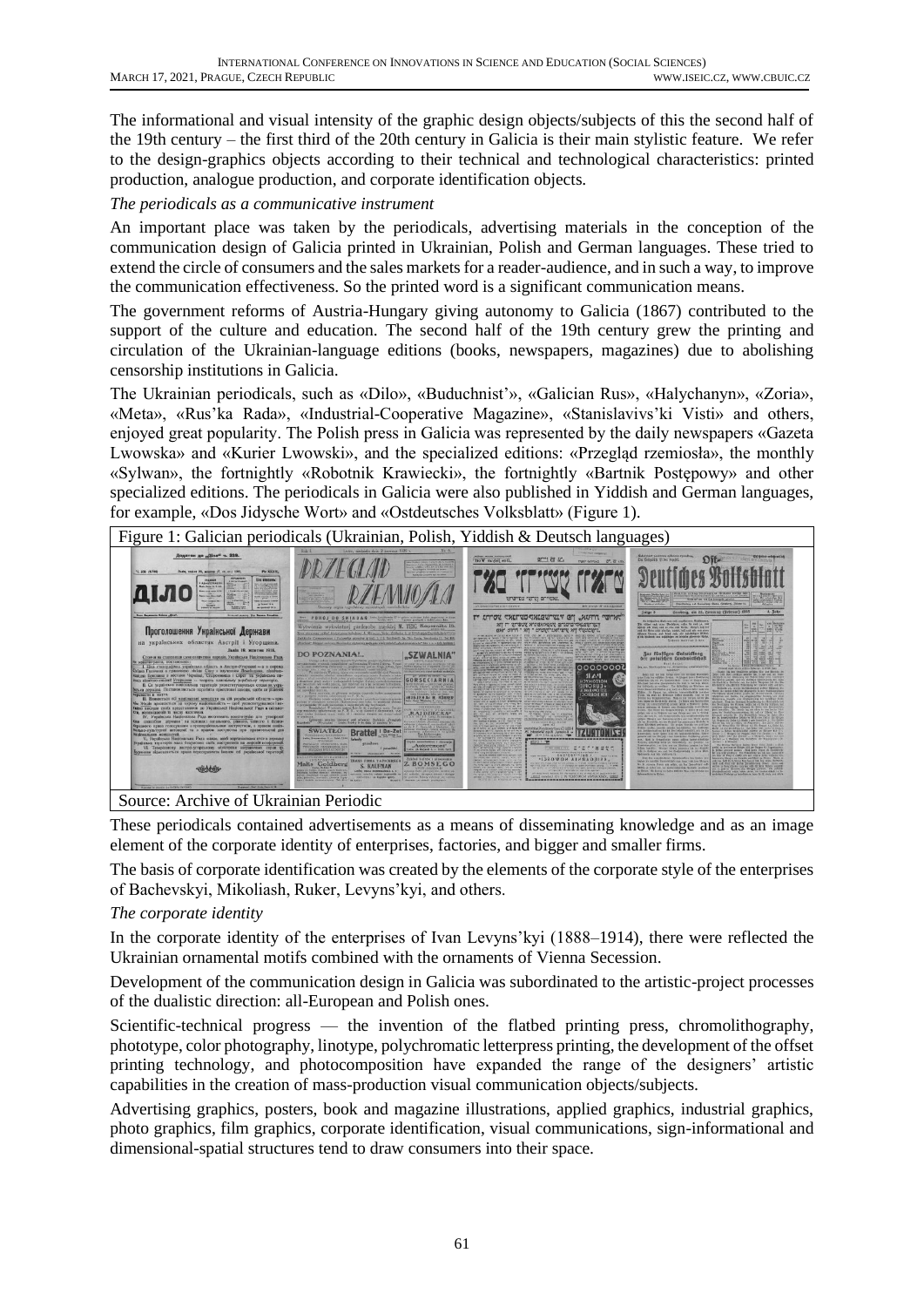The informational and visual intensity of the graphic design objects/subjects of this the second half of the 19th century – the first third of the 20th century in Galicia is their main stylistic feature. We refer to the design-graphics objects according to their technical and technological characteristics: printed production, analogue production, and corporate identification objects.

#### *The periodicals as a communicative instrument*

An important place was taken by the periodicals, advertising materials in the conception of the communication design of Galicia printed in Ukrainian, Polish and German languages. These tried to extend the circle of consumers and the sales markets for a reader-audience, and in such a way, to improve the communication effectiveness. So the printed word is a significant communication means.

The government reforms of Austria-Hungary giving autonomy to Galicia (1867) contributed to the support of the culture and education. The second half of the 19th century grew the printing and circulation of the Ukrainian-language editions (books, newspapers, magazines) due to abolishing censorship institutions in Galicia.

The Ukrainian periodicals, such as «Dilo», «Buduchnist'», «Galician Rus», «Halychanyn», «Zoria», «Meta», «Rus'ka Rada», «Industrial-Cooperative Magazine», «Stanislavivs'ki Visti» and others, enjoyed great popularity. The Polish press in Galicia was represented by the daily newspapers «Gazeta Lwowska» and «Kurier Lwowski», and the specialized editions: «Przegląd rzemiosła», the monthly «Sylwan», the fortnightly «Robotnik Krawiecki», the fortnightly «Bartnik Postępowy» and other specialized editions. The periodicals in Galicia were also published in Yiddish and German languages, for example, «Dos Jidysche Wort» and «Ostdeutsches Volksblatt» (Figure 1).



Source: Archive of Ukrainian Periodic

These periodicals contained advertisements as a means of disseminating knowledge and as an image element of the corporate identity of enterprises, factories, and bigger and smaller firms.

The basis of corporate identification was created by the elements of the corporate style of the enterprises of Bachevskyi, Mikoliash, Ruker, Levyns'kyi, and others.

## *The corporate identity*

In the corporate identity of the enterprises of Ivan Levyns'kyi (1888–1914), there were reflected the Ukrainian ornamental motifs combined with the ornaments of Vienna Secession.

Development of the communication design in Galicia was subordinated to the artistic-project processes of the dualistic direction: all-European and Polish ones.

Scientific-technical progress — the invention of the flatbed printing press, chromolithography, phototype, color photography, linotype, polychromatic letterpress printing, the development of the offset printing technology, and photocomposition have expanded the range of the designers' artistic capabilities in the creation of mass-production visual communication objects/subjects.

Advertising graphics, posters, book and magazine illustrations, applied graphics, industrial graphics, photo graphics, film graphics, corporate identification, visual communications, sign-informational and dimensional-spatial structures tend to draw consumers into their space.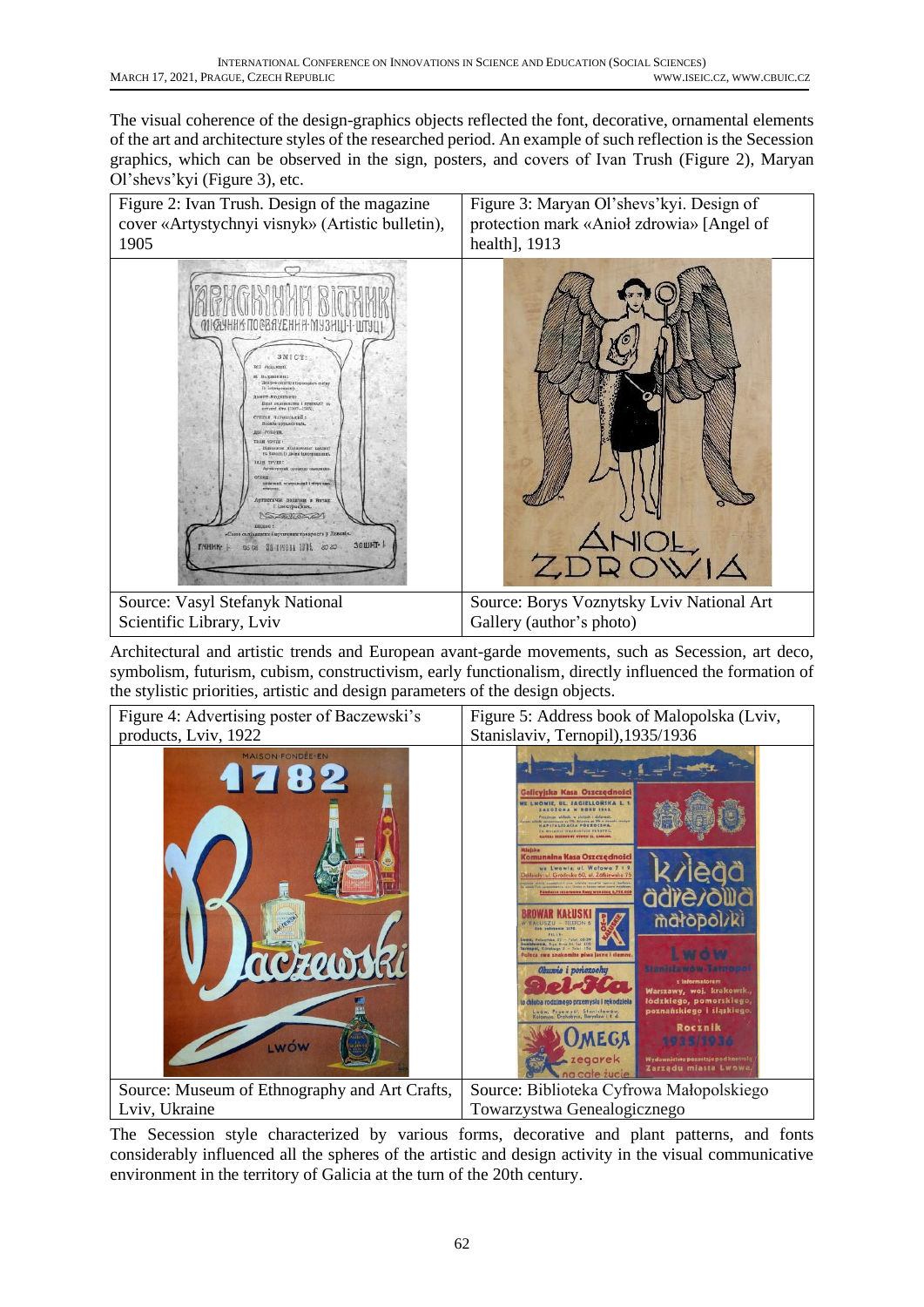The visual coherence of the design-graphics objects reflected the font, decorative, ornamental elements of the art and architecture styles of the researched period. An example of such reflection is the Secession graphics, which can be observed in the sign, posters, and covers of Іvan Trush (Figure 2), Maryan Ol'shevs'kyi (Figure 3), etc.



Architectural and artistic trends and European avant-garde movements, such as Secession, art deco, symbolism, futurism, cubism, constructivism, early functionalism, directly influenced the formation of the stylistic priorities, artistic and design parameters of the design objects.



The Secession style characterized by various forms, decorative and plant patterns, and fonts considerably influenced all the spheres of the artistic and design activity in the visual communicative environment in the territory of Galicia at the turn of the 20th century.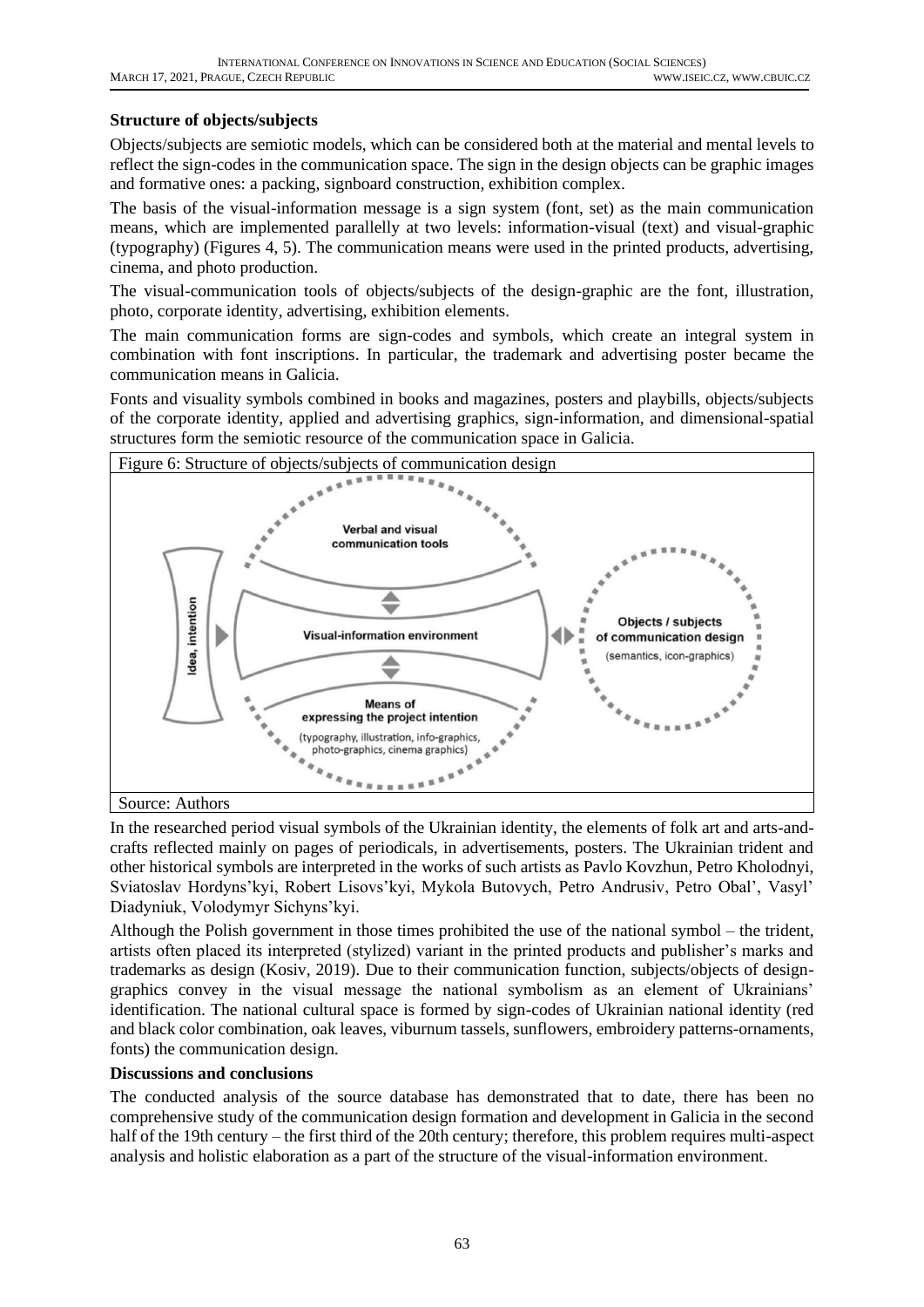## **Structure of objects/subjects**

Objects/subjects are semiotic models, which can be considered both at the material and mental levels to reflect the sign-codes in the communication space. The sign in the design objects can be graphic images and formative ones: a packing, signboard construction, exhibition complex.

The basis of the visual-information message is a sign system (font, set) as the main communication means, which are implemented parallelly at two levels: information-visual (text) and visual-graphic (typography) (Figures 4, 5). The communication means were used in the printed products, advertising, cinema, and photo production.

The visual-communication tools of objects/subjects of the design-graphic are the font, illustration, photo, corporate identity, advertising, exhibition elements.

The main communication forms are sign-codes and symbols, which create an integral system in combination with font inscriptions. In particular, the trademark and advertising poster became the communication means in Galicia.

Fonts and visuality symbols combined in books and magazines, posters and playbills, objects/subjects of the corporate identity, applied and advertising graphics, sign-information, and dimensional-spatial structures form the semiotic resource of the communication space in Galicia.



In the researched period visual symbols of the Ukrainian identity, the elements of folk art and arts-andcrafts reflected mainly on pages of periodicals, in advertisements, posters. The Ukrainian trident and other historical symbols are interpreted in the works of such artists as Pavlo Kovzhun, Petro Kholodnyi, Sviatoslav Hordyns'kyi, Robert Lisovs'kyi, Mykola Butovych, Petro Andrusiv, Petro Obal', Vasyl' Diadyniuk, Volodymyr Sichyns'kyi.

Although the Polish government in those times prohibited the use of the national symbol – the trident, artists often placed its interpreted (stylized) variant in the printed products and publisher's marks and trademarks as design (Kosiv, 2019). Due to their communication function, subjects/objects of designgraphics convey in the visual message the national symbolism as an element of Ukrainians' identification. The national cultural space is formed by sign-codes of Ukrainian national identity (red and black color combination, oak leaves, viburnum tassels, sunflowers, embroidery patterns-ornaments, fonts) the communication design.

## **Discussions and conclusions**

The conducted analysis of the source database has demonstrated that to date, there has been no comprehensive study of the communication design formation and development in Galicia in the second half of the 19th century – the first third of the 20th century; therefore, this problem requires multi-aspect analysis and holistic elaboration as a part of the structure of the visual-information environment.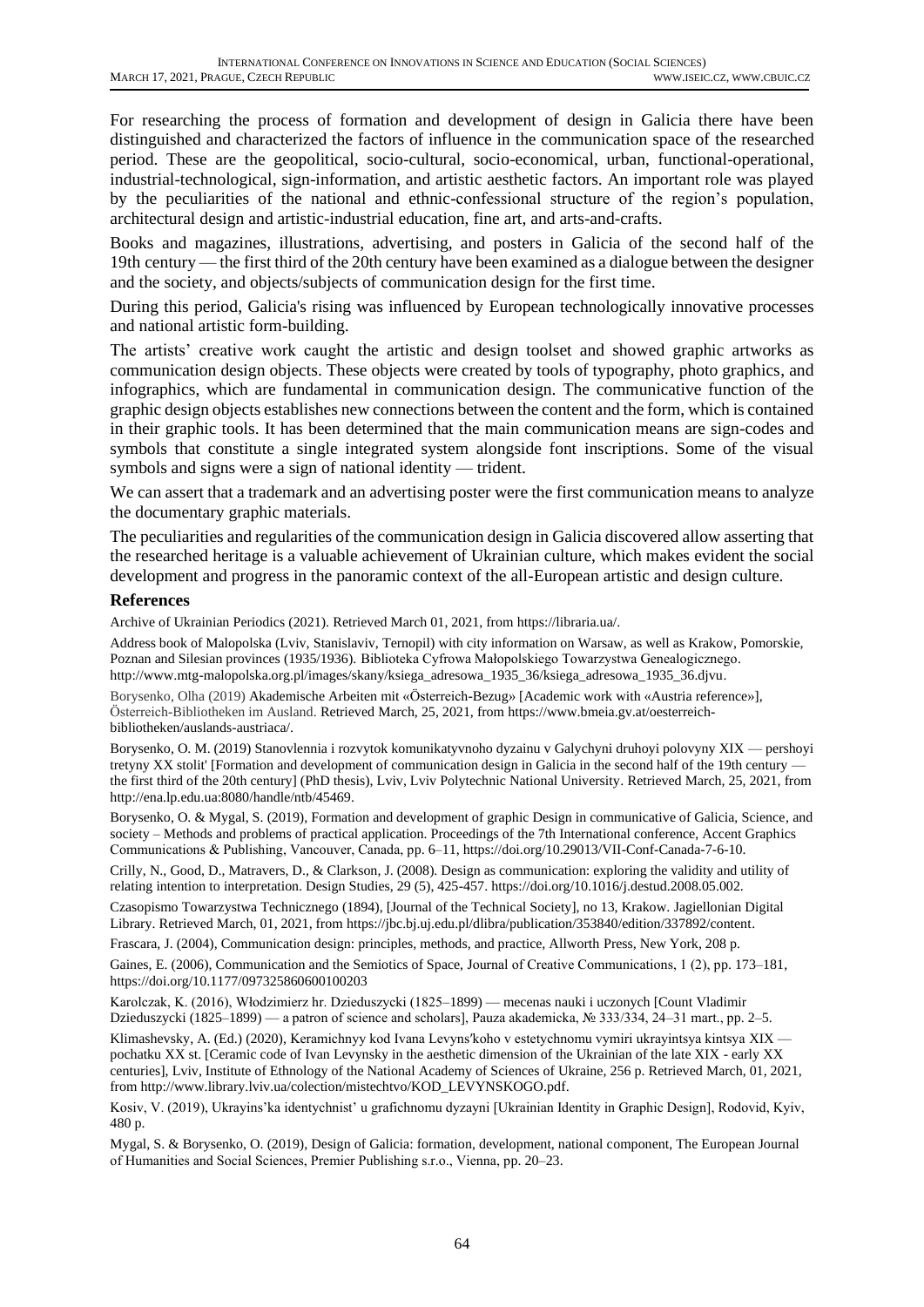For researching the process of formation and development of design in Galicia there have been distinguished and characterized the factors of influence in the communication space of the researched period. These are the geopolitical, socio-cultural, socio-economical, urban, functional-operational, industrial-technological, sign-information, and artistic aesthetic factors. An important role was played by the peculiarities of the national and ethnic-confessional structure of the region's population, architectural design and artistic-industrial education, fine art, and arts-and-crafts.

Books and magazines, illustrations, advertising, and posters in Galicia of the second half of the 19th century — the first third of the 20th century have been examined as a dialogue between the designer and the society, and objects/subjects of communication design for the first time.

During this period, Galicia's rising was influenced by European technologically innovative processes and national artistic form-building.

The artists' creative work caught the artistic and design toolset and showed graphic artworks as communication design objects. These objects were created by tools of typography, photo graphics, and infographics, which are fundamental in communication design. The communicative function of the graphic design objects establishes new connections between the content and the form, which is contained in their graphic tools. It has been determined that the main communication means are sign-codes and symbols that constitute a single integrated system alongside font inscriptions. Some of the visual symbols and signs were a sign of national identity — trident.

We can assert that a trademark and an advertising poster were the first communication means to analyze the documentary graphic materials.

The peculiarities and regularities of the communication design in Galicia discovered allow asserting that the researched heritage is a valuable achievement of Ukrainian culture, which makes evident the social development and progress in the panoramic context of the all-European artistic and design culture.

#### **References**

Archive of Ukrainian Periodics (2021). Retrieved March 01, 2021, from https://libraria.ua/.

Address book of Malopolska (Lviv, Stanislaviv, Ternopil) with city information on Warsaw, as well as Krakow, Pomorskie, Poznan and Silesian provinces (1935/1936). [Biblioteka Cyfrowa Małopolskiego Towarzystwa Genealogicznego.](file:///D:/2021/SCOPUS%202021/Чехія-конференція/Biblioteka%20Cyfrowa%20Małopolskiego%20Towarzystwa%20Genealogicznego) [http://www.mtg-malopolska.org.pl/images/skany/ksiega\\_adresowa\\_1935\\_36/ksiega\\_adresowa\\_1935\\_36.djvu.](http://www.mtg-malopolska.org.pl/images/skany/ksiega_adresowa_1935_36/ksiega_adresowa_1935_36.djvu)

Borysenko, Olha (2019) Akademische Arbeiten mit «Österreich-Bezug» [Academic work with «Austria reference»], Österreich-Bibliotheken im Ausland. Retrieved March, 25, 2021, from https://www.bmeia.gv.at/oesterreichbibliotheken/auslands-austriaca/.

Borysenko, O. M. (2019) Stanovlennia i rozvytok komunikatyvnoho dyzainu v Galychyni druhoyi polovyny XIX — pershoyi tretyny XX stolit' [Formation and development of communication design in Galicia in the second half of the 19th century the first third of the 20th century] (PhD thesis), Lviv, Lviv Polytechnic National University. Retrieved March, 25, 2021, from http://ena.lp.edu.ua:8080/handle/ntb/45469.

Borysenko, O. & Mygal, S. (2019), Formation and development of graphic Design in communicative of Galicia, Science, and society – Methods and problems of practical application. Proceedings of the 7th International conference, Accent Graphics Communications & Publishing, Vancouver, Canada, рp. 6–11, https://doi.org/10.29013/VII-Conf-Canada-7-6-10.

Crilly, N., Good, D., Matravers, D., & Clarkson, J. (2008). Design as communication: exploring the validity and utility of relating intention to interpretation. Design Studies, 29 (5), 425-457. https://doi.org/10.1016/j.destud.2008.05.002.

Czasopismo Towarzystwa Technicznego (1894), [Journal of the Technical Society], no 13, Krakow. Jagiellonian Digital Library. Retrieved March, 01, 2021, from https://jbc.bj.uj.edu.pl/dlibra/publication/353840/edition/337892/content.

Frascara, J. (2004), Communication design: principles, methods, and practice, Allworth Press, New York, 208 p.

Gaines, E. (2006), Communication and the Semiotics of Space, Journal of Creative Communications, 1 (2), рp. 173–181, [https://doi.org/10.1177/097325860600100203](https://doi.org/10.1177%2F097325860600100203)

Karolczak, K. (2016), Włodzimierz hr. Dzieduszycki (1825–1899) — mecenas nauki i uczonych [Count Vladimir Dzieduszycki (1825–1899) — a patron of science and scholars], Pauza akademicka, № 333/334, 24–31 mart., рp. 2–5.

Klimashevsky, A. (Ed.) (2020), Keramichnyy kod Ivana Levyns'koho v estetychnomu vymiri ukrayintsya kintsya XIX pochatku XX st. [Ceramic code of Ivan Levynsky in the aesthetic dimension of the Ukrainian of the late XIX - early XX centuries], Lviv, Institute of Ethnology of the National Academy of Sciences of Ukraine, 256 p. Retrieved March, 01, 2021, from http://www.library.lviv.ua/colection/mistechtvo/KOD\_LEVYNSKOGO.pdf.

Kosiv, V. (2019), Ukrayins'ka identychnist' u grafichnomu dyzayni [Ukrainian Identity in Graphic Design], Rodovid, Kyiv, 480 p.

Mygal, S. & Borysenko, O. (2019), Design of Galicia: formation, development, national component, The European Journal of Humanities and Social Sciences, Premier Publishing s.r.o., Vienna, рp. 20–23.